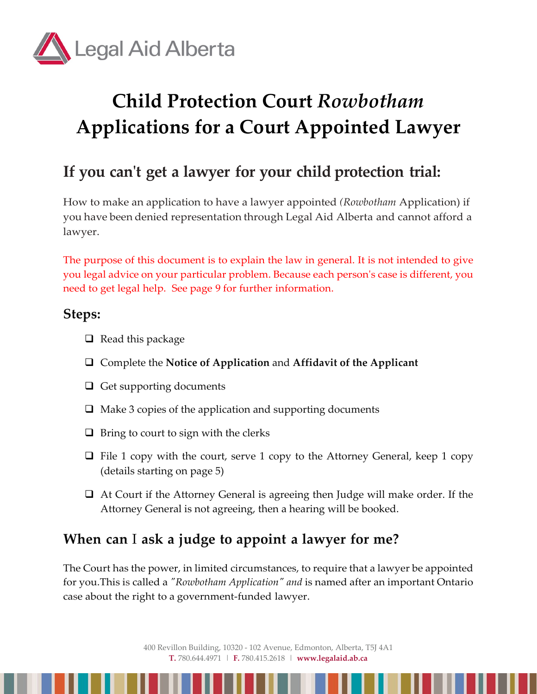

# **Child Protection Court** *Rowbotham* **Applications for a Court Appointed Lawyer**

## **If you can't get a lawyer for your child protection trial:**

How to make an application to have a lawyer appointed *(Rowbotham* Application) if you have been denied representation through Legal Aid Alberta and cannot afford a lawyer.

The purpose of this document is to explain the law in general. It is not intended to give you legal advice on your particular problem. Because each person's case is different, you need to get legal help. See page 9 for further information.

## **Steps:**

- $\Box$  Read this package
- Complete the **Notice of Application** and **Affidavit of the Applicant**
- $\Box$  Get supporting documents
- $\Box$  Make 3 copies of the application and supporting documents
- $\Box$  Bring to court to sign with the clerks
- $\Box$  File 1 copy with the court, serve 1 copy to the Attorney General, keep 1 copy (details starting on page 5)
- At Court if the Attorney General is agreeing then Judge will make order. If the Attorney General is not agreeing, then a hearing will be booked.

## **When can** I **ask a judge to appoint a lawyer for me?**

The Court has the power, in limited circumstances, to require that a lawyer be appointed for you.This is called a *"Rowbotham Application" and* is named after an important Ontario case about the right to a government-funded lawyer.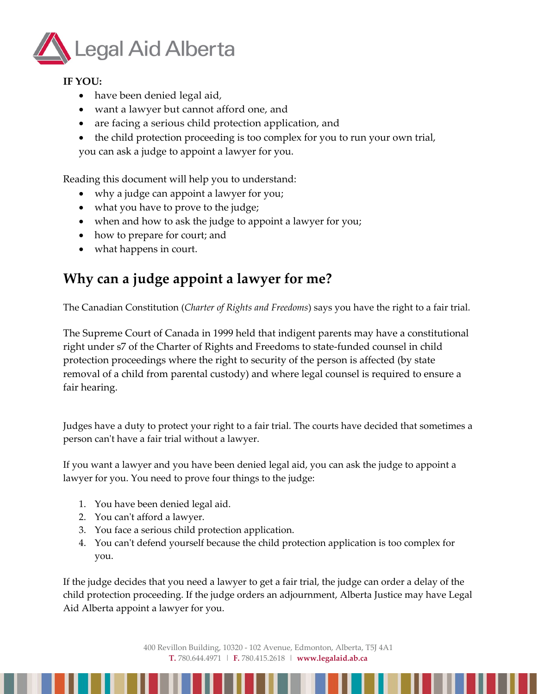

#### **IF YOU:**

- have been denied legal aid,
- want a lawyer but cannot afford one, and
- are facing a serious child protection application, and
- the child protection proceeding is too complex for you to run your own trial, you can ask a judge to appoint a lawyer for you.

Reading this document will help you to understand:

- why a judge can appoint a lawyer for you;
- what you have to prove to the judge;
- when and how to ask the judge to appoint a lawyer for you;
- how to prepare for court; and
- what happens in court.

## **Why can a judge appoint a lawyer for me?**

The Canadian Constitution (*Charter of Rights and Freedoms*) says you have the right to a fair trial.

The Supreme Court of Canada in 1999 held that indigent parents may have a constitutional right under s7 of the Charter of Rights and Freedoms to state-funded counsel in child protection proceedings where the right to security of the person is affected (by state removal of a child from parental custody) and where legal counsel is required to ensure a fair hearing.

Judges have a duty to protect your right to a fair trial. The courts have decided that sometimes a person can't have a fair trial without a lawyer.

If you want a lawyer and you have been denied legal aid, you can ask the judge to appoint a lawyer for you. You need to prove four things to the judge:

- 1. You have been denied legal aid.
- 2. You can't afford a lawyer.
- 3. You face a serious child protection application.
- 4. You can't defend yourself because the child protection application is too complex for you.

If the judge decides that you need a lawyer to get a fair trial, the judge can order a delay of the child protection proceeding. If the judge orders an adjournment, Alberta Justice may have Legal Aid Alberta appoint a lawyer for you.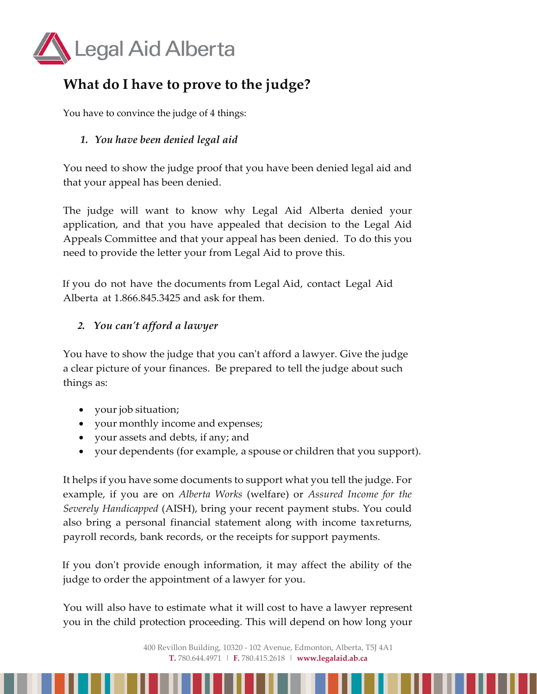

## **What do I have to prove to the judge?**

You have to convince the judge of 4 things:

#### *1. You have been denied legal aid*

You need to show the judge proof that you have been denied legal aid and that your appeal has been denied.

The judge will want to know why Legal Aid Alberta denied your application, and that you have appealed that decision to the Legal Aid Appeals Committee and that your appeal has been denied. To do this you need to provide the letter your from Legal Aid to prove this.

If you do not have the documents from Legal Aid, contact Legal Aid Alberta at 1.866.845.3425 and ask for them.

#### *2. You can't afford a lawyer*

You have to show the judge that you can't afford a lawyer. Give the judge a clear picture of your finances. Be prepared to tell the judge about such things as:

- your job situation;
- your monthly income and expenses;
- your assets and debts, if any; and
- your dependents (for example, a spouse or children that you support).

It helps if you have some documents to support what you tell the judge. For example, if you are on *Alberta Works* (welfare) or *Assured Income for the Severely Handicapped* (AISH), bring your recent payment stubs. You could also bring a personal financial statement along with income taxreturns, payroll records, bank records, or the receipts for support payments.

If you don't provide enough information, it may affect the ability of the judge to order the appointment of a lawyer for you.

You will also have to estimate what it will cost to have a lawyer represent you in the child protection proceeding. This will depend on how long your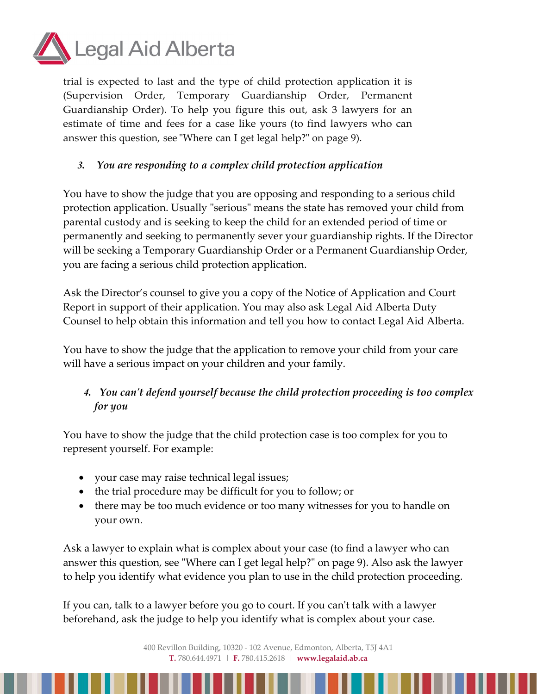

trial is expected to last and the type of child protection application it is (Supervision Order, Temporary Guardianship Order, Permanent Guardianship Order). To help you figure this out, ask 3 lawyers for an estimate of time and fees for a case like yours (to find lawyers who can answer this question, see "Where can I get legal help?" on page 9).

#### *3. You are responding to a complex child protection application*

You have to show the judge that you are opposing and responding to a serious child protection application. Usually "serious" means the state has removed your child from parental custody and is seeking to keep the child for an extended period of time or permanently and seeking to permanently sever your guardianship rights. If the Director will be seeking a Temporary Guardianship Order or a Permanent Guardianship Order, you are facing a serious child protection application.

Ask the Director's counsel to give you a copy of the Notice of Application and Court Report in support of their application. You may also ask Legal Aid Alberta Duty Counsel to help obtain this information and tell you how to contact Legal Aid Alberta.

You have to show the judge that the application to remove your child from your care will have a serious impact on your children and your family.

### *4. You can't defend yourself because the child protection proceeding is too complex for you*

You have to show the judge that the child protection case is too complex for you to represent yourself. For example:

- your case may raise technical legal issues;
- the trial procedure may be difficult for you to follow; or
- there may be too much evidence or too many witnesses for you to handle on your own.

Ask a lawyer to explain what is complex about your case (to find a lawyer who can answer this question, see "Where can I get legal help?" on page 9). Also ask the lawyer to help you identify what evidence you plan to use in the child protection proceeding.

If you can, talk to a lawyer before you go to court. If you can't talk with a lawyer beforehand, ask the judge to help you identify what is complex about your case.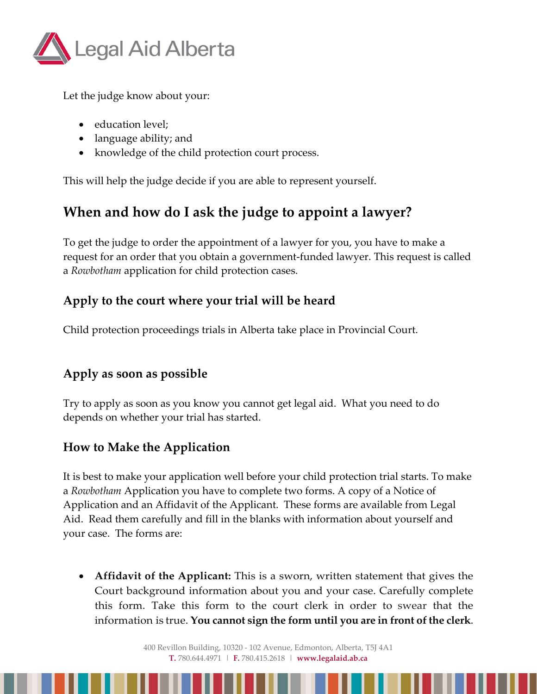

Let the judge know about your:

- education level;
- language ability; and
- knowledge of the child protection court process.

This will help the judge decide if you are able to represent yourself.

## **When and how do I ask the judge to appoint a lawyer?**

To get the judge to order the appointment of a lawyer for you, you have to make a request for an order that you obtain a government-funded lawyer. This request is called a *Rowbotham* application for child protection cases.

## **Apply to the court where your trial will be heard**

Child protection proceedings trials in Alberta take place in Provincial Court.

## **Apply as soon as possible**

Try to apply as soon as you know you cannot get legal aid. What you need to do depends on whether your trial has started.

## **How to Make the Application**

It is best to make your application well before your child protection trial starts. To make a *Rowbotham* Application you have to complete two forms. A copy of a Notice of Application and an Affidavit of the Applicant. These forms are available from Legal Aid. Read them carefully and fill in the blanks with information about yourself and your case. The forms are:

• **Affidavit of the Applicant:** This is a sworn, written statement that gives the Court background information about you and your case. Carefully complete this form. Take this form to the court clerk in order to swear that the information is true. **You cannot sign the form until you are in front of the clerk**.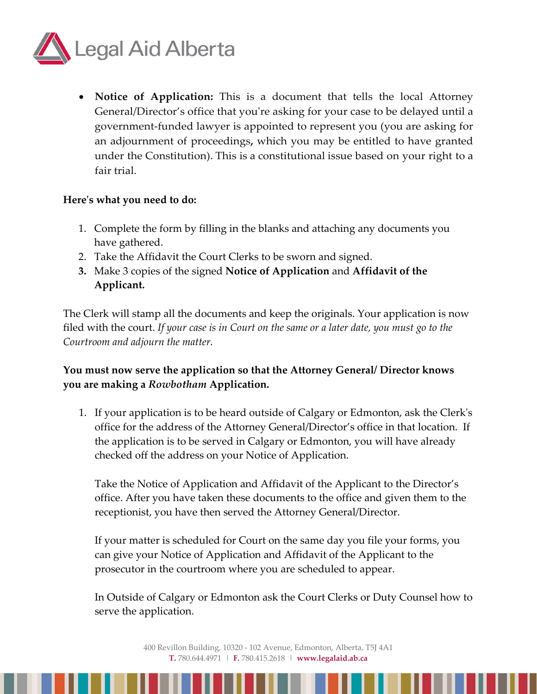

• **Notice of Application:** This is a document that tells the local Attorney General/Director's office that you're asking for your case to be delayed until a government-funded lawyer is appointed to represent you (you are asking for an adjournment of proceedings**,** which you may be entitled to have granted under the Constitution). This is a constitutional issue based on your right to a fair trial.

#### **Here's what you need to do:**

- 1. Complete the form by filling in the blanks and attaching any documents you have gathered.
- 2. Take the Affidavit the Court Clerks to be sworn and signed.
- **3.** Make 3 copies of the signed **Notice of Application** and **Affidavit of the Applicant.**

The Clerk will stamp all the documents and keep the originals. Your application is now filed with the court. *If your case is in Court on the same or a later date, you must go to the Courtroom and adjourn the matter.*

#### **You must now serve the application so that the Attorney General/ Director knows you are making a** *Rowbotham* **Application.**

1. If your application is to be heard outside of Calgary or Edmonton, ask the Clerk's office for the address of the Attorney General/Director's office in that location. If the application is to be served in Calgary or Edmonton, you will have already checked off the address on your Notice of Application.

Take the Notice of Application and Affidavit of the Applicant to the Director's office. After you have taken these documents to the office and given them to the receptionist, you have then served the Attorney General/Director.

If your matter is scheduled for Court on the same day you file your forms, you can give your Notice of Application and Affidavit of the Applicant to the prosecutor in the courtroom where you are scheduled to appear.

In Outside of Calgary or Edmonton ask the Court Clerks or Duty Counsel how to serve the application.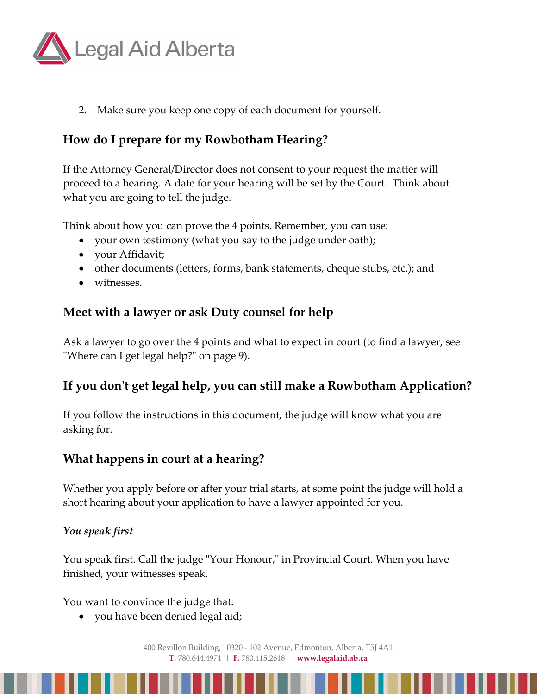

2. Make sure you keep one copy of each document for yourself.

## **How do I prepare for my Rowbotham Hearing?**

If the Attorney General/Director does not consent to your request the matter will proceed to a hearing. A date for your hearing will be set by the Court. Think about what you are going to tell the judge.

Think about how you can prove the 4 points. Remember, you can use:

- your own testimony (what you say to the judge under oath);
- your Affidavit;
- other documents (letters, forms, bank statements, cheque stubs, etc.); and
- witnesses

### **Meet with a lawyer or ask Duty counsel for help**

Ask a lawyer to go over the 4 points and what to expect in court (to find a lawyer, see "Where can I get legal help?" on page 9).

## **If you don't get legal help, you can still make a Rowbotham Application?**

If you follow the instructions in this document, the judge will know what you are asking for.

### **What happens in court at a hearing?**

Whether you apply before or after your trial starts, at some point the judge will hold a short hearing about your application to have a lawyer appointed for you.

#### *You speak first*

You speak first. Call the judge "Your Honour," in Provincial Court. When you have finished, your witnesses speak.

You want to convince the judge that:

• you have been denied legal aid;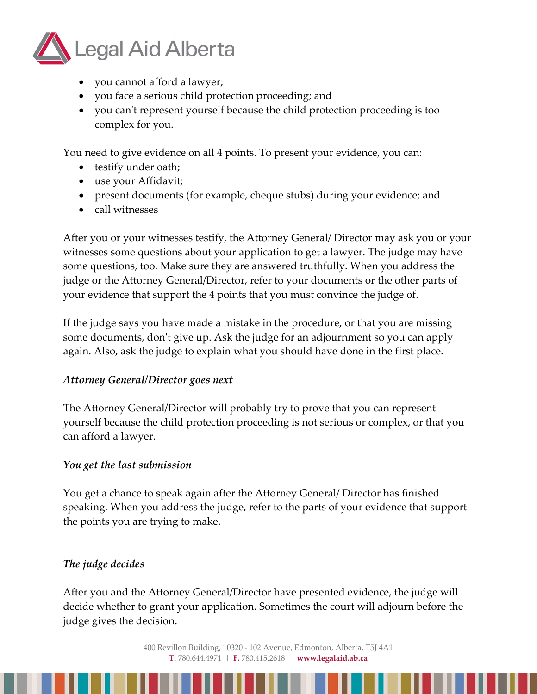

- you cannot afford a lawyer;
- you face a serious child protection proceeding; and
- you can't represent yourself because the child protection proceeding is too complex for you.

You need to give evidence on all 4 points. To present your evidence, you can:

- testify under oath;
- use your Affidavit;
- present documents (for example, cheque stubs) during your evidence; and
- call witnesses

After you or your witnesses testify, the Attorney General/ Director may ask you or your witnesses some questions about your application to get a lawyer. The judge may have some questions, too. Make sure they are answered truthfully. When you address the judge or the Attorney General/Director, refer to your documents or the other parts of your evidence that support the 4 points that you must convince the judge of.

If the judge says you have made a mistake in the procedure, or that you are missing some documents, don't give up. Ask the judge for an adjournment so you can apply again. Also, ask the judge to explain what you should have done in the first place.

#### *Attorney General/Director goes next*

The Attorney General/Director will probably try to prove that you can represent yourself because the child protection proceeding is not serious or complex, or that you can afford a lawyer.

#### *You get the last submission*

You get a chance to speak again after the Attorney General/ Director has finished speaking. When you address the judge, refer to the parts of your evidence that support the points you are trying to make.

#### *The judge decides*

After you and the Attorney General/Director have presented evidence, the judge will decide whether to grant your application. Sometimes the court will adjourn before the judge gives the decision.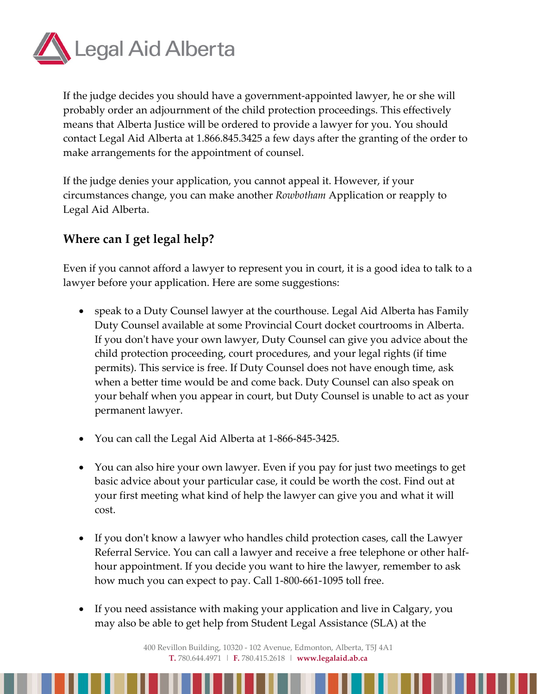

If the judge decides you should have a government-appointed lawyer, he or she will probably order an adjournment of the child protection proceedings. This effectively means that Alberta Justice will be ordered to provide a lawyer for you. You should contact Legal Aid Alberta at 1.866.845.3425 a few days after the granting of the order to make arrangements for the appointment of counsel.

If the judge denies your application, you cannot appeal it. However, if your circumstances change, you can make another *Rowbotham* Application or reapply to Legal Aid Alberta.

## **Where can I get legal help?**

Even if you cannot afford a lawyer to represent you in court, it is a good idea to talk to a lawyer before your application. Here are some suggestions:

- speak to a Duty Counsel lawyer at the courthouse. Legal Aid Alberta has Family Duty Counsel available at some Provincial Court docket courtrooms in Alberta. If you don't have your own lawyer, Duty Counsel can give you advice about the child protection proceeding, court procedures, and your legal rights (if time permits). This service is free. If Duty Counsel does not have enough time, ask when a better time would be and come back. Duty Counsel can also speak on your behalf when you appear in court, but Duty Counsel is unable to act as your permanent lawyer.
- You can call the Legal Aid Alberta at 1-866-845-3425.
- You can also hire your own lawyer. Even if you pay for just two meetings to get basic advice about your particular case, it could be worth the cost. Find out at your first meeting what kind of help the lawyer can give you and what it will cost.
- If you don't know a lawyer who handles child protection cases, call the Lawyer Referral Service. You can call a lawyer and receive a free telephone or other halfhour appointment. If you decide you want to hire the lawyer, remember to ask how much you can expect to pay. Call 1-800-661-1095 toll free.
- If you need assistance with making your application and live in Calgary, you may also be able to get help from Student Legal Assistance (SLA) at the